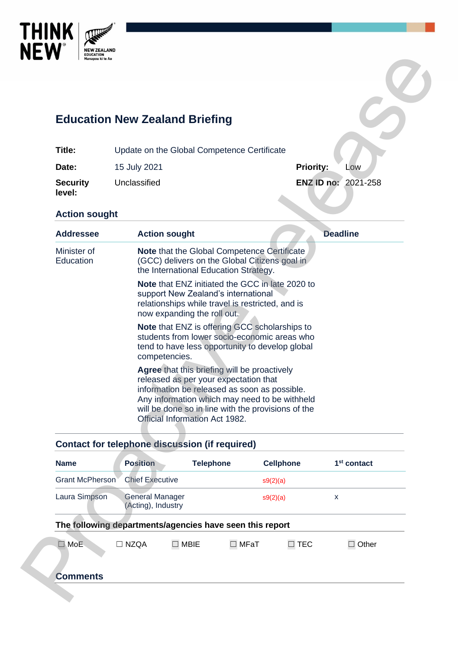

# **Education New Zealand Briefing**

| Title:                    | Update on the Global Competence Certificate |                            |     |
|---------------------------|---------------------------------------------|----------------------------|-----|
| Date:                     | 15 July 2021                                | <b>Priority:</b>           | Low |
| <b>Security</b><br>level: | Unclassified                                | <b>ENZ ID no: 2021-258</b> |     |

### **Action sought**

|                                                        | <b>Education New Zealand Briefing</b>                                                                                                 |                                                                                                                                                                                                                                                                                |                         |                  |                         |  |
|--------------------------------------------------------|---------------------------------------------------------------------------------------------------------------------------------------|--------------------------------------------------------------------------------------------------------------------------------------------------------------------------------------------------------------------------------------------------------------------------------|-------------------------|------------------|-------------------------|--|
| Title:                                                 | Update on the Global Competence Certificate                                                                                           |                                                                                                                                                                                                                                                                                |                         |                  |                         |  |
| Date:                                                  | 15 July 2021                                                                                                                          |                                                                                                                                                                                                                                                                                | <b>Priority:</b><br>Low |                  |                         |  |
| <b>Security</b><br>level:                              | Unclassified                                                                                                                          |                                                                                                                                                                                                                                                                                |                         |                  | ENZ ID no: 2021-258     |  |
| <b>Action sought</b>                                   |                                                                                                                                       |                                                                                                                                                                                                                                                                                |                         |                  |                         |  |
| <b>Addressee</b>                                       | <b>Action sought</b>                                                                                                                  |                                                                                                                                                                                                                                                                                |                         |                  | <b>Deadline</b>         |  |
| Minister of<br>Education                               | Note that the Global Competence Certificate<br>(GCC) delivers on the Global Citizens goal in<br>the International Education Strategy. |                                                                                                                                                                                                                                                                                |                         |                  |                         |  |
|                                                        |                                                                                                                                       | Note that ENZ initiated the GCC in late 2020 to<br>support New Zealand's international<br>relationships while travel is restricted, and is<br>now expanding the roll out.                                                                                                      |                         |                  |                         |  |
|                                                        | competencies.                                                                                                                         | <b>Note that ENZ is offering GCC scholarships to</b><br>students from lower socio-economic areas who<br>tend to have less opportunity to develop global                                                                                                                        |                         |                  |                         |  |
|                                                        |                                                                                                                                       |                                                                                                                                                                                                                                                                                |                         |                  |                         |  |
|                                                        |                                                                                                                                       | Agree that this briefing will be proactively<br>released as per your expectation that<br>information be released as soon as possible.<br>Any information which may need to be withheld<br>will be done so in line with the provisions of the<br>Official Information Act 1982. |                         |                  |                         |  |
|                                                        | <b>Contact for telephone discussion (if required)</b>                                                                                 |                                                                                                                                                                                                                                                                                |                         |                  |                         |  |
|                                                        | <b>Position</b>                                                                                                                       | <b>Telephone</b>                                                                                                                                                                                                                                                               |                         | <b>Cellphone</b> | 1 <sup>st</sup> contact |  |
|                                                        | <b>Chief Executive</b>                                                                                                                |                                                                                                                                                                                                                                                                                | s9(2)(a)                |                  |                         |  |
|                                                        | <b>General Manager</b><br>(Acting), Industry                                                                                          |                                                                                                                                                                                                                                                                                | s9(2)(a)                |                  | X                       |  |
| <b>Name</b><br><b>Grant McPherson</b><br>Laura Simpson | The following departments/agencies have seen this report                                                                              |                                                                                                                                                                                                                                                                                |                         |                  |                         |  |

## **Contact for telephone discussion (if required)**

| <b>Name</b>                                              | <b>Position</b>                              | <b>Telephone</b> |             | <b>Cellphone</b> |               | 1 <sup>st</sup> contact |
|----------------------------------------------------------|----------------------------------------------|------------------|-------------|------------------|---------------|-------------------------|
| Grant McPherson                                          | <b>Chief Executive</b>                       |                  |             | s9(2)(a)         |               |                         |
| Laura Simpson                                            | <b>General Manager</b><br>(Acting), Industry |                  |             | s9(2)(a)         |               | X                       |
| The following departments/agencies have seen this report |                                              |                  |             |                  |               |                         |
| MoE.<br>- I                                              | $\Box$ NZQA                                  | $\Box$ MBIE      | $\Box$ MFaT |                  | $\square$ TEC | Other                   |
| <b>Comments</b>                                          |                                              |                  |             |                  |               |                         |
|                                                          |                                              |                  |             |                  |               |                         |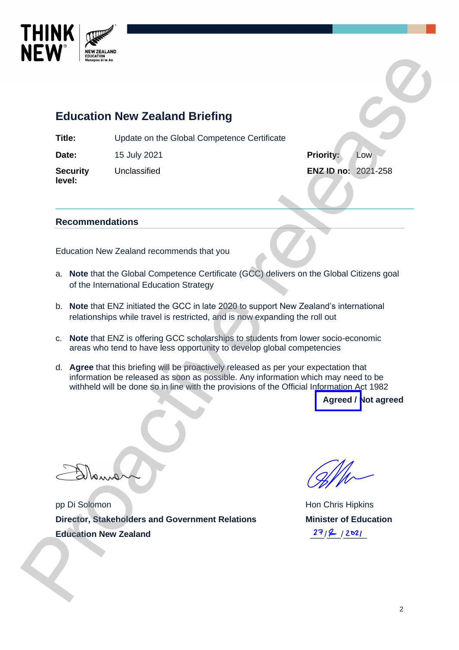

# **Education New Zealand Briefing**

**Title:** Update on the Global Competence Certificate

**Date:** 15 July 2021 **Priority:** Low

**Security level:**

Unclassified **ENZ ID no:** 2021-258

#### **Recommendations**

Education New Zealand recommends that you

- a. **Note** that the Global Competence Certificate (GCC) delivers on the Global Citizens goal of the International Education Strategy
- b. **Note** that ENZ initiated the GCC in late 2020 to support New Zealand's international relationships while travel is restricted, and is now expanding the roll out
- c. **Note** that ENZ is offering GCC scholarships to students from lower socio-economic areas who tend to have less opportunity to develop global competencies
- d. **Agree** that this briefing will be proactively released as per your expectation that information be released as soon as possible. Any information which may need to be withheld will be done so in line with the provisions of the Official Information Act 1982 **Processor Control of the CNN and Control of the CNN and CONDUCT (CNN)**<br>
The commentations<br>
Date: the July 2021<br> **Determined School Control of CNN and CNN and CNN and CNN and CNN and CNN and CNN and CNN and CNN and CNN an**

**Agreed / Not agreed**

pp Di Solomon **Director, Stakeholders and Government Relations Education New Zealand**

Hon Chris Hipkins **Minister of Education**   $27/2$  /2021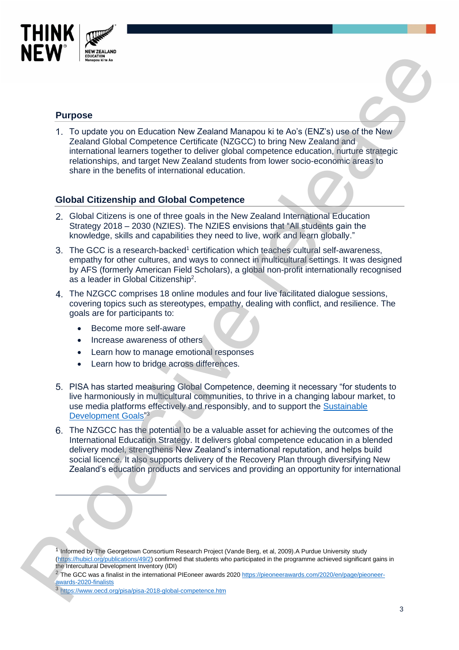

#### **Purpose**

To update you on Education New Zealand Manapou ki te Ao's (ENZ's) use of the New Zealand Global Competence Certificate (NZGCC) to bring New Zealand and international learners together to deliver global competence education, nurture strategic relationships, and target New Zealand students from lower socio-economic areas to share in the benefits of international education. apou ki te Ao's (ENZ's) use of the New<br>C) to bring New Zealand and<br>competence education, nurture strategic<br>from lower socio-economic areas to<br>Zealand International Education<br>sions that "All students gain the<br>ive, work and

#### **Global Citizenship and Global Competence**

- Global Citizens is one of three goals in the New Zealand International Education Strategy 2018 – 2030 (NZIES). The NZIES envisions that "All students gain the knowledge, skills and capabilities they need to live, work and learn globally."
- 3. The GCC is a research-backed<sup>1</sup> certification which teaches cultural self-awareness, empathy for other cultures, and ways to connect in multicultural settings. It was designed by AFS (formerly American Field Scholars), a global non-profit internationally recognised as a leader in Global Citizenship<sup>2</sup>.
- The NZGCC comprises 18 online modules and four live facilitated dialogue sessions, covering topics such as stereotypes, empathy, dealing with conflict, and resilience. The goals are for participants to:
	- Become more self-aware
	- Increase awareness of others
	- Learn how to manage emotional responses
	- Learn how to bridge across differences.
- PISA has started measuring Global Competence, deeming it necessary "for students to live harmoniously in multicultural communities, to thrive in a changing labour market, to use media platforms effectively and responsibly, and to support the [Sustainable](http://www.un.org/sustainabledevelopment/sustainable-development-goals)  Development Goals"<sup>3</sup>
- The NZGCC has the potential to be a valuable asset for achieving the outcomes of the International Education Strategy. It delivers global competence education in a blended delivery model, strengthens New Zealand's international reputation, and helps build social licence. It also supports delivery of the Recovery Plan through diversifying New Zealand's education products and services and providing an opportunity for international cove[r](https://hubicl.org/publications/49/2)ing topics such as stereotypes, empathy, dealing w<br>
goals are for participants to:<br>
• Become more self-aware<br>
• Increase awareness of others<br>
• Learn how to manage emotional responses<br>
• Learn how to bridge across dif

<sup>3</sup> https://www.oecd.org/pisa/pisa -2018-global-competence.htm

<sup>&</sup>lt;sup>1</sup> Informed by The Georgetown Consortium Research Project (Vande Berg, et al, 2009). A Purdue University study (https://hubicl.org/publications/49/2) confirmed that students who participated in the programme achieved significant gains in the Intercultural Development Inventory (IDI)

<sup>&</sup>lt;sup>2</sup> The GCC was a finalist in the international PIEoneer awards 2020 [https://pieoneerawards.com/2020/en/page/pieoneer](https://pieoneerawards.com/2020/en/page/pieoneer-awards-2020-finalists)awards-2020-finalists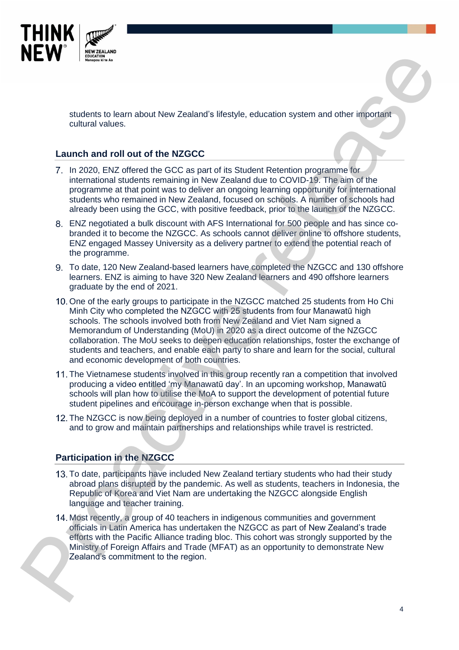

students to learn about New Zealand's lifestyle, education system and other important cultural values.

#### **Launch and roll out of the NZGCC**

- 7. In 2020, ENZ offered the GCC as part of its Student Retention programme for international students remaining in New Zealand due to COVID-19. The aim of the programme at that point was to deliver an ongoing learning opportunity for international students who remained in New Zealand, focused on schools. A number of schools had already been using the GCC, with positive feedback, prior to the launch of the NZGCC.
- ENZ negotiated a bulk discount with AFS International for 500 people and has since cobranded it to become the NZGCC. As schools cannot deliver online to offshore students, ENZ engaged Massey University as a delivery partner to extend the potential reach of the programme.
- To date, 120 New Zealand-based learners have completed the NZGCC and 130 offshore learners. ENZ is aiming to have 320 New Zealand learners and 490 offshore learners graduate by the end of 2021.
- 10. One of the early groups to participate in the NZGCC matched 25 students from Ho Chi Minh City who completed the NZGCC with 25 students from four Manawatū high schools. The schools involved both from New Zealand and Viet Nam signed a Memorandum of Understanding (MoU) in 2020 as a direct outcome of the NZGCC collaboration. The MoU seeks to deepen education relationships, foster the exchange of students and teachers, and enable each party to share and learn for the social, cultural and economic development of both countries. **Processor** states and the value of the state of the state of the state of the state of the state of the state of the state of the state of the state of the state of the state of the state of the state of the state of the
	- The Vietnamese students involved in this group recently ran a competition that involved producing a video entitled 'my Manawatū day'. In an upcoming workshop, Manawatū schools will plan how to utilise the MoA to support the development of potential future student pipelines and encourage in-person exchange when that is possible.
	- 12. The NZGCC is now being deployed in a number of countries to foster global citizens, and to grow and maintain partnerships and relationships while travel is restricted.

### **Participation in the NZGCC**

- 13. To date, participants have included New Zealand tertiary students who had their study abroad plans disrupted by the pandemic. As well as students, teachers in Indonesia, the Republic of Korea and Viet Nam are undertaking the NZGCC alongside English language and teacher training.
- 14. Most recently, a group of 40 teachers in indigenous communities and government officials in Latin America has undertaken the NZGCC as part of New Zealand's trade efforts with the Pacific Alliance trading bloc. This cohort was strongly supported by the Ministry of Foreign Affairs and Trade (MFAT) as an opportunity to demonstrate New Zealand's commitment to the region.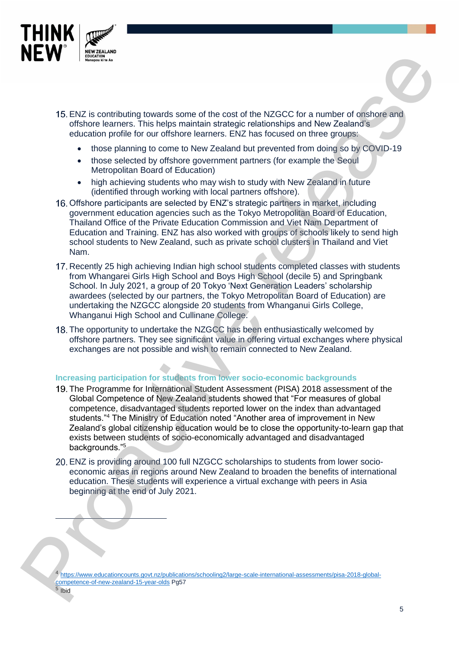

- 15. ENZ is contributing towards some of the cost of the NZGCC for a number of onshore and offshore learners. This helps maintain strategic relationships and New Zealand's education profile for our offshore learners. ENZ has focused on three groups:
	- those planning to come to New Zealand but prevented from doing so by COVID-19
	- those selected by offshore government partners (for example the Seoul Metropolitan Board of Education)
	- high achieving students who may wish to study with New Zealand in future (identified through working with local partners offshore).
- 16. Offshore participants are selected by ENZ's strategic partners in market, including government education agencies such as the Tokyo Metropolitan Board of Education, Thailand Office of the Private Education Commission and Viet Nam Department of Education and Training. ENZ has also worked with groups of schools likely to send high school students to New Zealand, such as private school clusters in Thailand and Viet Nam.
- 17. Recently 25 high achieving Indian high school students completed classes with students from Whangarei Girls High School and Boys High School (decile 5) and Springbank School. In July 2021, a group of 20 Tokyo 'Next Generation Leaders' scholarship awardees (selected by our partners, the Tokyo Metropolitan Board of Education) are undertaking the NZGCC alongside 20 students from Whanganui Girls College, Whanganui High School and Cullinane College.
- 18. The opportunity to undertake the NZGCC has been enthusiastically welcomed by offshore partners. They see significant value in offering virtual exchanges where physical exchanges are not possible and wish to remain connected to New Zealand.

#### **Increasing participation for students from lower socio-economic backgrounds**

- 19. The Programme for International Student Assessment (PISA) 2018 assessment of the Global Competence of New Zealand students showed that "For measures of global competence, disadvantaged students reported lower on the index than advantaged students."<sup>4</sup> The Ministry of Education noted "Another area of improvement in New Zealand's global citizenship education would be to close the opportunity-to-learn gap that exists between students of socio-economically advantaged and disadvantaged backgrounds."<sup>5</sup> **[P](https://www.educationcounts.govt.nz/publications/schooling2/large-scale-international-assessments/pisa-2018-global-competence-of-new-zealand-15-year-olds)rofit and the control of the cost of the NZGCC for a number of anisotic method of the NZGCC for a number of anisotic method of the cost of the NZGCC for a number of anisotic method of the distribution profite for our di** 
	- ENZ is providing around 100 full NZGCC scholarships to students from lower socioeconomic areas in regions around New Zealand to broaden the benefits of international education. These students will experience a virtual exchange with peers in Asia beginning at the end of July 2021.

<sup>4</sup> https://www.educationcounts.govt.nz/publications/schooling2/large-scale-international-assessments/pisa-2018-globalcompetence-of-new-zealand-15-year-olds Pg57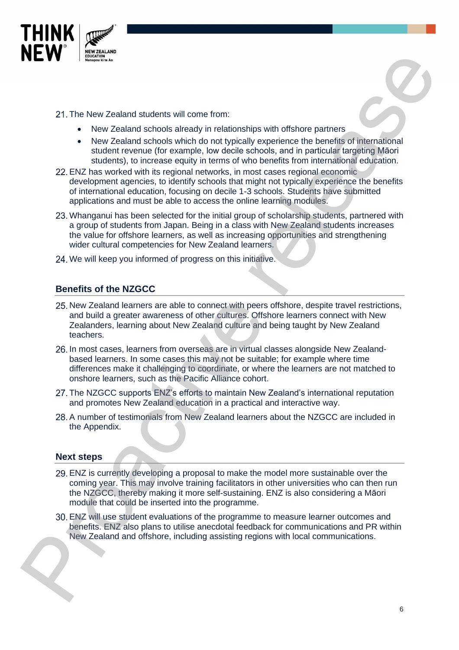

- 21. The New Zealand students will come from:
	- New Zealand schools already in relationships with offshore partners
	- New Zealand schools which do not typically experience the benefits of international student revenue (for example, low decile schools, and in particular targeting Māori students), to increase equity in terms of who benefits from international education.
- ENZ has worked with its regional networks, in most cases regional economic development agencies, to identify schools that might not typically experience the benefits of international education, focusing on decile 1-3 schools. Students have submitted applications and must be able to access the online learning modules.
- 23. Whanganui has been selected for the initial group of scholarship students, partnered with a group of students from Japan. Being in a class with New Zealand students increases the value for offshore learners, as well as increasing opportunities and strengthening wider cultural competencies for New Zealand learners. **Provide the System Statistics with consideration** in the System of the System of the System of the System of the System of the System of the System of the System of the System of the System of the System of the Constant
	- 24. We will keep you informed of progress on this initiative.

#### **Benefits of the NZGCC**

- 25. New Zealand learners are able to connect with peers offshore, despite travel restrictions, and build a greater awareness of other cultures. Offshore learners connect with New Zealanders, learning about New Zealand culture and being taught by New Zealand teachers.
- 26. In most cases, learners from overseas are in virtual classes alongside New Zealandbased learners. In some cases this may not be suitable; for example where time differences make it challenging to coordinate, or where the learners are not matched to onshore learners, such as the Pacific Alliance cohort.
- 27. The NZGCC supports ENZ's efforts to maintain New Zealand's international reputation and promotes New Zealand education in a practical and interactive way.
- A number of testimonials from New Zealand learners about the NZGCC are included in the Appendix.

#### **Next steps**

- ENZ is currently developing a proposal to make the model more sustainable over the coming year. This may involve training facilitators in other universities who can then run the NZGCC, thereby making it more self-sustaining. ENZ is also considering a Māori module that could be inserted into the programme.
- ENZ will use student evaluations of the programme to measure learner outcomes and benefits. ENZ also plans to utilise anecdotal feedback for communications and PR within New Zealand and offshore, including assisting regions with local communications.